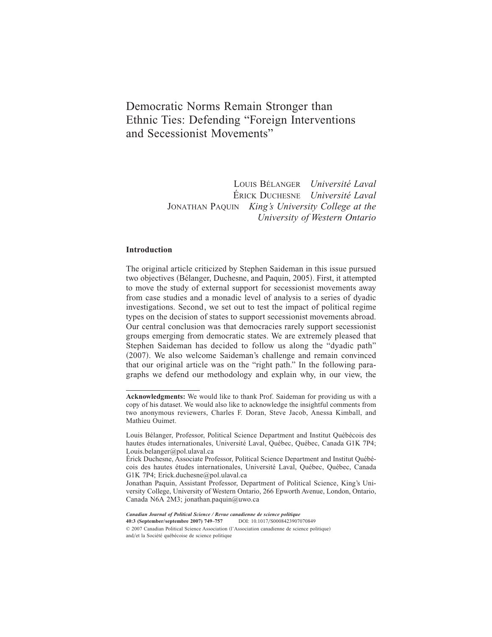# Democratic Norms Remain Stronger than Ethnic Ties: Defending "Foreign Interventions and Secessionist Movements"

LOUIS BÉLANGER *Université Laval* ÉRICK DUCHESNE *Université Laval* JONATHAN PAQUIN *King's University College at the University of Western Ontario*

## **Introduction**

The original article criticized by Stephen Saideman in this issue pursued two objectives (Bélanger, Duchesne, and Paquin, 2005). First, it attempted to move the study of external support for secessionist movements away from case studies and a monadic level of analysis to a series of dyadic investigations. Second, we set out to test the impact of political regime types on the decision of states to support secessionist movements abroad. Our central conclusion was that democracies rarely support secessionist groups emerging from democratic states. We are extremely pleased that Stephen Saideman has decided to follow us along the "dyadic path"  $(2007)$ . We also welcome Saideman's challenge and remain convinced that our original article was on the "right path." In the following paragraphs we defend our methodology and explain why, in our view, the

**Acknowledgments:** We would like to thank Prof. Saideman for providing us with a copy of his dataset. We would also like to acknowledge the insightful comments from two anonymous reviewers, Charles F. Doran, Steve Jacob, Anessa Kimball, and Mathieu Ouimet.

Louis Bélanger, Professor, Political Science Department and Institut Québécois des hautes études internationales, Université Laval, Québec, Québec, Canada G1K 7P4; Louis.belanger@pol.ulaval.ca

Érick Duchesne, Associate Professor, Political Science Department and Institut Québécois des hautes études internationales, Université Laval, Québec, Québec, Canada G1K 7P4; Erick.duchesne@pol.ulaval.ca

Jonathan Paquin, Assistant Professor, Department of Political Science, King's University College, University of Western Ontario, 266 Epworth Avenue, London, Ontario, Canada N6A 2M3; jonathan.paquin@uwo.ca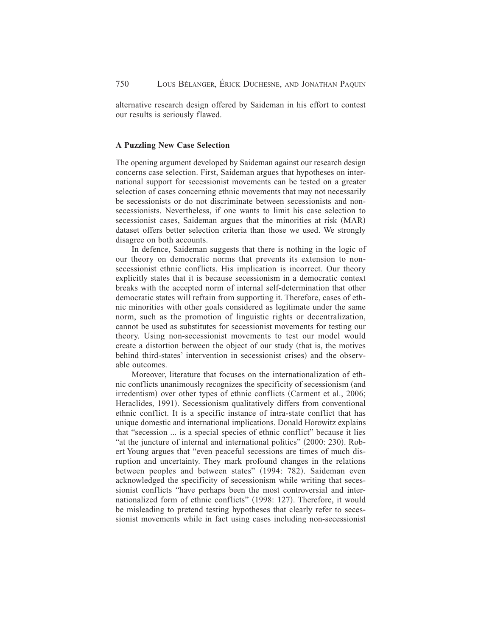alternative research design offered by Saideman in his effort to contest our results is seriously flawed.

#### **A Puzzling New Case Selection**

The opening argument developed by Saideman against our research design concerns case selection. First, Saideman argues that hypotheses on international support for secessionist movements can be tested on a greater selection of cases concerning ethnic movements that may not necessarily be secessionists or do not discriminate between secessionists and nonsecessionists. Nevertheless, if one wants to limit his case selection to secessionist cases, Saideman argues that the minorities at risk (MAR) dataset offers better selection criteria than those we used. We strongly disagree on both accounts.

In defence, Saideman suggests that there is nothing in the logic of our theory on democratic norms that prevents its extension to nonsecessionist ethnic conflicts. His implication is incorrect. Our theory explicitly states that it is because secessionism in a democratic context breaks with the accepted norm of internal self-determination that other democratic states will refrain from supporting it. Therefore, cases of ethnic minorities with other goals considered as legitimate under the same norm, such as the promotion of linguistic rights or decentralization, cannot be used as substitutes for secessionist movements for testing our theory. Using non-secessionist movements to test our model would create a distortion between the object of our study (that is, the motives behind third-states' intervention in secessionist crises) and the observable outcomes.

Moreover, literature that focuses on the internationalization of ethnic conflicts unanimously recognizes the specificity of secessionism (and irredentism) over other types of ethnic conflicts (Carment et al., 2006; Heraclides, 1991). Secessionism qualitatively differs from conventional ethnic conflict. It is a specific instance of intra-state conflict that has unique domestic and international implications. Donald Horowitz explains that "secession ... is a special species of ethnic conflict" because it lies "at the juncture of internal and international politics" (2000: 230). Robert Young argues that "even peaceful secessions are times of much disruption and uncertainty. They mark profound changes in the relations between peoples and between states" (1994: 782). Saideman even acknowledged the specificity of secessionism while writing that secessionist conflicts "have perhaps been the most controversial and internationalized form of ethnic conflicts" (1998: 127). Therefore, it would be misleading to pretend testing hypotheses that clearly refer to secessionist movements while in fact using cases including non-secessionist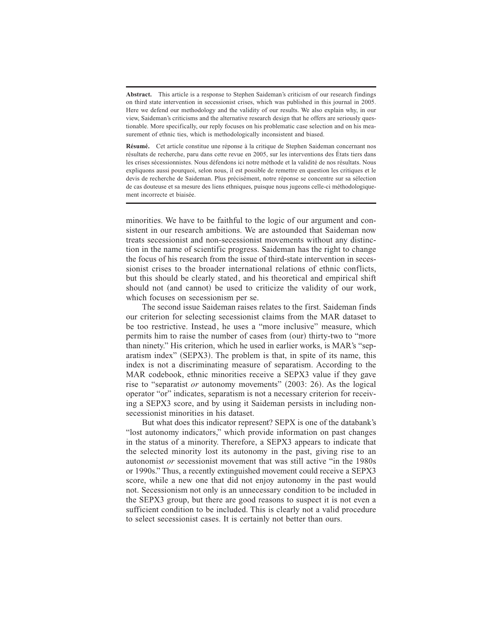**Abstract.** This article is a response to Stephen Saideman's criticism of our research findings on third state intervention in secessionist crises, which was published in this journal in 2005. Here we defend our methodology and the validity of our results. We also explain why, in our view, Saideman's criticisms and the alternative research design that he offers are seriously questionable. More specifically, our reply focuses on his problematic case selection and on his measurement of ethnic ties, which is methodologically inconsistent and biased.

**Résumé.** Cet article constitue une réponse à la critique de Stephen Saideman concernant nos résultats de recherche, paru dans cette revue en 2005, sur les interventions des États tiers dans les crises sécessionnistes. Nous défendons ici notre méthode et la validité de nos résultats. Nous expliquons aussi pourquoi, selon nous, il est possible de remettre en question les critiques et le devis de recherche de Saideman. Plus précisément, notre réponse se concentre sur sa sélection de cas douteuse et sa mesure des liens ethniques, puisque nous jugeons celle-ci méthodologiquement incorrecte et biaisée.

minorities. We have to be faithful to the logic of our argument and consistent in our research ambitions. We are astounded that Saideman now treats secessionist and non-secessionist movements without any distinction in the name of scientific progress. Saideman has the right to change the focus of his research from the issue of third-state intervention in secessionist crises to the broader international relations of ethnic conflicts, but this should be clearly stated, and his theoretical and empirical shift should not (and cannot) be used to criticize the validity of our work, which focuses on secessionism per se.

The second issue Saideman raises relates to the first. Saideman finds our criterion for selecting secessionist claims from the MAR dataset to be too restrictive. Instead, he uses a "more inclusive" measure, which permits him to raise the number of cases from (our) thirty-two to "more than ninety." His criterion, which he used in earlier works, is MAR's "separatism index" (SEPX3). The problem is that, in spite of its name, this index is not a discriminating measure of separatism. According to the MAR codebook, ethnic minorities receive a SEPX3 value if they gave rise to "separatist *or* autonomy movements" (2003: 26). As the logical operator "or" indicates, separatism is not a necessary criterion for receiving a SEPX3 score, and by using it Saideman persists in including nonsecessionist minorities in his dataset.

But what does this indicator represent? SEPX is one of the databank's "lost autonomy indicators," which provide information on past changes in the status of a minority. Therefore, a SEPX3 appears to indicate that the selected minority lost its autonomy in the past, giving rise to an autonomist *or* secessionist movement that was still active "in the 1980s or 1990s." Thus, a recently extinguished movement could receive a SEPX3 score, while a new one that did not enjoy autonomy in the past would not. Secessionism not only is an unnecessary condition to be included in the SEPX3 group, but there are good reasons to suspect it is not even a sufficient condition to be included. This is clearly not a valid procedure to select secessionist cases. It is certainly not better than ours.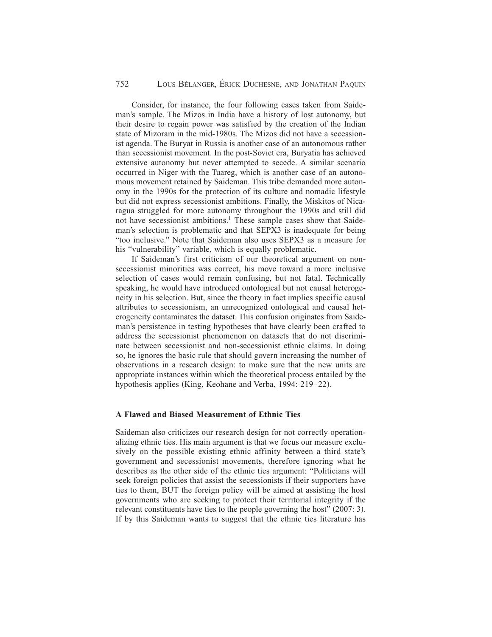Consider, for instance, the four following cases taken from Saideman's sample. The Mizos in India have a history of lost autonomy, but their desire to regain power was satisfied by the creation of the Indian state of Mizoram in the mid-1980s. The Mizos did not have a secessionist agenda. The Buryat in Russia is another case of an autonomous rather than secessionist movement. In the post-Soviet era, Buryatia has achieved extensive autonomy but never attempted to secede. A similar scenario occurred in Niger with the Tuareg, which is another case of an autonomous movement retained by Saideman. This tribe demanded more autonomy in the 1990s for the protection of its culture and nomadic lifestyle but did not express secessionist ambitions. Finally, the Miskitos of Nicaragua struggled for more autonomy throughout the 1990s and still did not have secessionist ambitions.<sup>1</sup> These sample cases show that Saideman's selection is problematic and that SEPX3 is inadequate for being "too inclusive." Note that Saideman also uses SEPX3 as a measure for his "vulnerability" variable, which is equally problematic.

If Saideman's first criticism of our theoretical argument on nonsecessionist minorities was correct, his move toward a more inclusive selection of cases would remain confusing, but not fatal. Technically speaking, he would have introduced ontological but not causal heterogeneity in his selection. But, since the theory in fact implies specific causal attributes to secessionism, an unrecognized ontological and causal heterogeneity contaminates the dataset. This confusion originates from Saideman's persistence in testing hypotheses that have clearly been crafted to address the secessionist phenomenon on datasets that do not discriminate between secessionist and non-secessionist ethnic claims. In doing so, he ignores the basic rule that should govern increasing the number of observations in a research design: to make sure that the new units are appropriate instances within which the theoretical process entailed by the hypothesis applies  $(King, Keohane and Verba, 1994: 219–22)$ .

#### **A Flawed and Biased Measurement of Ethnic Ties**

Saideman also criticizes our research design for not correctly operationalizing ethnic ties. His main argument is that we focus our measure exclusively on the possible existing ethnic affinity between a third state's government and secessionist movements, therefore ignoring what he describes as the other side of the ethnic ties argument: "Politicians will seek foreign policies that assist the secessionists if their supporters have ties to them, BUT the foreign policy will be aimed at assisting the host governments who are seeking to protect their territorial integrity if the relevant constituents have ties to the people governing the host"  $(2007: 3)$ . If by this Saideman wants to suggest that the ethnic ties literature has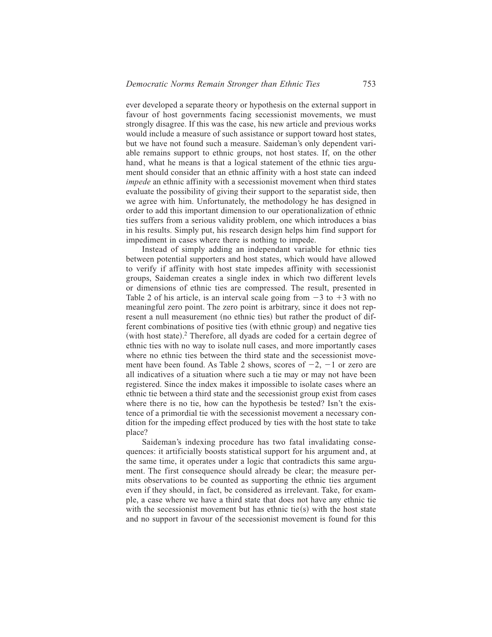ever developed a separate theory or hypothesis on the external support in favour of host governments facing secessionist movements, we must strongly disagree. If this was the case, his new article and previous works would include a measure of such assistance or support toward host states, but we have not found such a measure. Saideman's only dependent variable remains support to ethnic groups, not host states. If, on the other hand, what he means is that a logical statement of the ethnic ties argument should consider that an ethnic affinity with a host state can indeed *impede* an ethnic affinity with a secessionist movement when third states evaluate the possibility of giving their support to the separatist side, then we agree with him. Unfortunately, the methodology he has designed in order to add this important dimension to our operationalization of ethnic ties suffers from a serious validity problem, one which introduces a bias in his results. Simply put, his research design helps him find support for impediment in cases where there is nothing to impede.

Instead of simply adding an independant variable for ethnic ties between potential supporters and host states, which would have allowed to verify if affinity with host state impedes affinity with secessionist groups, Saideman creates a single index in which two different levels or dimensions of ethnic ties are compressed. The result, presented in Table 2 of his article, is an interval scale going from  $-3$  to  $+3$  with no meaningful zero point. The zero point is arbitrary, since it does not represent a null measurement (no ethnic ties) but rather the product of different combinations of positive ties (with ethnic group) and negative ties (with host state).<sup>2</sup> Therefore, all dyads are coded for a certain degree of ethnic ties with no way to isolate null cases, and more importantly cases where no ethnic ties between the third state and the secessionist movement have been found. As Table 2 shows, scores of  $-2$ ,  $-1$  or zero are all indicatives of a situation where such a tie may or may not have been registered. Since the index makes it impossible to isolate cases where an ethnic tie between a third state and the secessionist group exist from cases where there is no tie, how can the hypothesis be tested? Isn't the existence of a primordial tie with the secessionist movement a necessary condition for the impeding effect produced by ties with the host state to take place?

Saideman's indexing procedure has two fatal invalidating consequences: it artificially boosts statistical support for his argument and, at the same time, it operates under a logic that contradicts this same argument. The first consequence should already be clear; the measure permits observations to be counted as supporting the ethnic ties argument even if they should, in fact, be considered as irrelevant. Take, for example, a case where we have a third state that does not have any ethnic tie with the secessionist movement but has ethnic tie(s) with the host state and no support in favour of the secessionist movement is found for this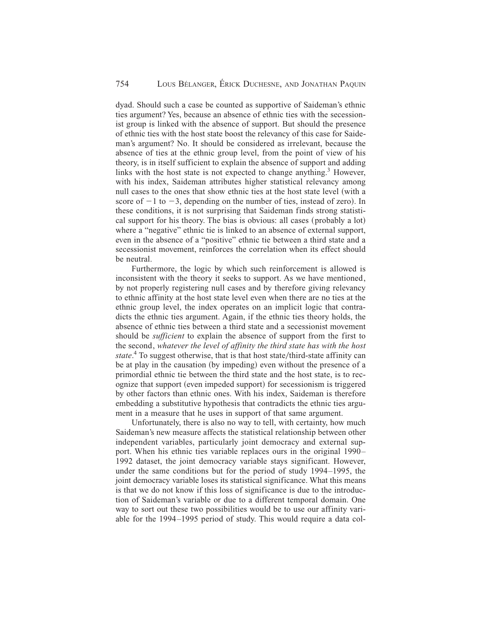dyad. Should such a case be counted as supportive of Saideman's ethnic ties argument? Yes, because an absence of ethnic ties with the secessionist group is linked with the absence of support. But should the presence of ethnic ties with the host state boost the relevancy of this case for Saideman's argument? No. It should be considered as irrelevant, because the absence of ties at the ethnic group level, from the point of view of his theory, is in itself sufficient to explain the absence of support and adding links with the host state is not expected to change anything.<sup>3</sup> However, with his index, Saideman attributes higher statistical relevancy among null cases to the ones that show ethnic ties at the host state level (with a score of  $-1$  to  $-3$ , depending on the number of ties, instead of zero). In these conditions, it is not surprising that Saideman finds strong statistical support for his theory. The bias is obvious: all cases (probably a lot) where a "negative" ethnic tie is linked to an absence of external support, even in the absence of a "positive" ethnic tie between a third state and a secessionist movement, reinforces the correlation when its effect should be neutral.

Furthermore, the logic by which such reinforcement is allowed is inconsistent with the theory it seeks to support. As we have mentioned, by not properly registering null cases and by therefore giving relevancy to ethnic affinity at the host state level even when there are no ties at the ethnic group level, the index operates on an implicit logic that contradicts the ethnic ties argument. Again, if the ethnic ties theory holds, the absence of ethnic ties between a third state and a secessionist movement should be *sufficient* to explain the absence of support from the first to the second, *whatever the level of affinity the third state has with the host state*.<sup>4</sup> To suggest otherwise, that is that host state/third-state affinity can be at play in the causation (by impeding) even without the presence of a primordial ethnic tie between the third state and the host state, is to recognize that support (even impeded support) for secessionism is triggered by other factors than ethnic ones. With his index, Saideman is therefore embedding a substitutive hypothesis that contradicts the ethnic ties argument in a measure that he uses in support of that same argument.

Unfortunately, there is also no way to tell, with certainty, how much Saideman's new measure affects the statistical relationship between other independent variables, particularly joint democracy and external support. When his ethnic ties variable replaces ours in the original 1990– 1992 dataset, the joint democracy variable stays significant. However, under the same conditions but for the period of study 1994–1995, the joint democracy variable loses its statistical significance. What this means is that we do not know if this loss of significance is due to the introduction of Saideman's variable or due to a different temporal domain. One way to sort out these two possibilities would be to use our affinity variable for the 1994–1995 period of study. This would require a data col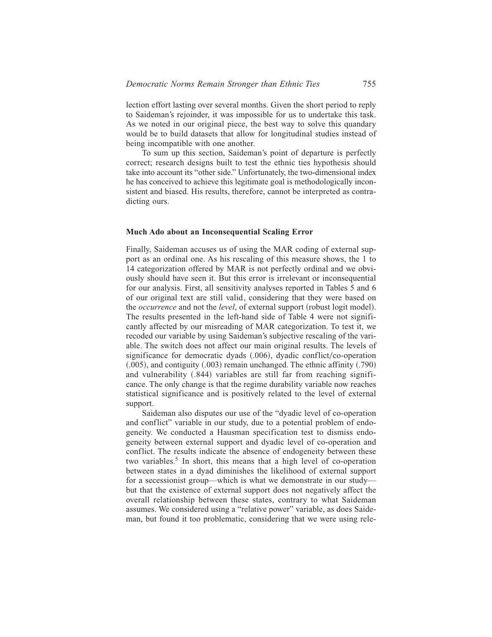lection effort lasting over several months. Given the short period to reply to Saideman's rejoinder, it was impossible for us to undertake this task. As we noted in our original piece, the best way to solve this quandary would be to build datasets that allow for longitudinal studies instead of being incompatible with one another.

To sum up this section, Saideman's point of departure is perfectly correct; research designs built to test the ethnic ties hypothesis should take into account its "other side." Unfortunately, the two-dimensional index he has conceived to achieve this legitimate goal is methodologically inconsistent and biased. His results, therefore, cannot be interpreted as contradicting ours.

#### **Much Ado about an Inconsequential Scaling Error**

Finally, Saideman accuses us of using the MAR coding of external support as an ordinal one. As his rescaling of this measure shows, the 1 to 14 categorization offered by MAR is not perfectly ordinal and we obviously should have seen it. But this error is irrelevant or inconsequential for our analysis. First, all sensitivity analyses reported in Tables 5 and 6 of our original text are still valid, considering that they were based on the *occurrence* and not the *level*, of external support (robust logit model). The results presented in the left-hand side of Table 4 were not significantly affected by our misreading of MAR categorization. To test it, we recoded our variable by using Saideman's subjective rescaling of the variable. The switch does not affect our main original results. The levels of significance for democratic dyads  $(.006)$ , dyadic conflict/co-operation  $(.005)$ , and contiguity  $(.003)$  remain unchanged. The ethnic affinity  $(.790)$ and vulnerability  $(.844)$  variables are still far from reaching significance. The only change is that the regime durability variable now reaches statistical significance and is positively related to the level of external support.

Saideman also disputes our use of the "dyadic level of co-operation and conflict" variable in our study, due to a potential problem of endogeneity. We conducted a Hausman specification test to dismiss endogeneity between external support and dyadic level of co-operation and conflict. The results indicate the absence of endogeneity between these two variables.<sup>5</sup> In short, this means that a high level of co-operation between states in a dyad diminishes the likelihood of external support for a secessionist group—which is what we demonstrate in our study but that the existence of external support does not negatively affect the overall relationship between these states, contrary to what Saideman assumes. We considered using a "relative power" variable, as does Saideman, but found it too problematic, considering that we were using rele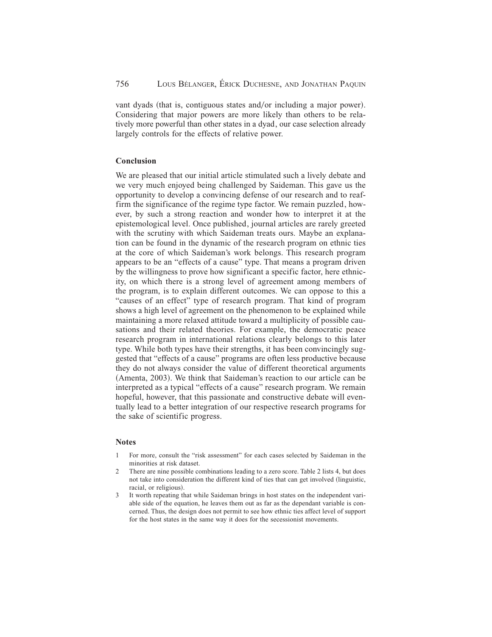vant dyads (that is, contiguous states and/or including a major power). Considering that major powers are more likely than others to be relatively more powerful than other states in a dyad, our case selection already largely controls for the effects of relative power.

## **Conclusion**

We are pleased that our initial article stimulated such a lively debate and we very much enjoyed being challenged by Saideman. This gave us the opportunity to develop a convincing defense of our research and to reaffirm the significance of the regime type factor. We remain puzzled, however, by such a strong reaction and wonder how to interpret it at the epistemological level. Once published, journal articles are rarely greeted with the scrutiny with which Saideman treats ours. Maybe an explanation can be found in the dynamic of the research program on ethnic ties at the core of which Saideman's work belongs. This research program appears to be an "effects of a cause" type. That means a program driven by the willingness to prove how significant a specific factor, here ethnicity, on which there is a strong level of agreement among members of the program, is to explain different outcomes. We can oppose to this a "causes of an effect" type of research program. That kind of program shows a high level of agreement on the phenomenon to be explained while maintaining a more relaxed attitude toward a multiplicity of possible causations and their related theories. For example, the democratic peace research program in international relations clearly belongs to this later type. While both types have their strengths, it has been convincingly suggested that "effects of a cause" programs are often less productive because they do not always consider the value of different theoretical arguments  $(Amenta, 2003)$ . We think that Saideman's reaction to our article can be interpreted as a typical "effects of a cause" research program. We remain hopeful, however, that this passionate and constructive debate will eventually lead to a better integration of our respective research programs for the sake of scientific progress.

#### **Notes**

- 1 For more, consult the "risk assessment" for each cases selected by Saideman in the minorities at risk dataset.
- 2 There are nine possible combinations leading to a zero score. Table 2 lists 4, but does not take into consideration the different kind of ties that can get involved (linguistic, racial, or religious).
- 3 It worth repeating that while Saideman brings in host states on the independent variable side of the equation, he leaves them out as far as the dependant variable is concerned. Thus, the design does not permit to see how ethnic ties affect level of support for the host states in the same way it does for the secessionist movements.